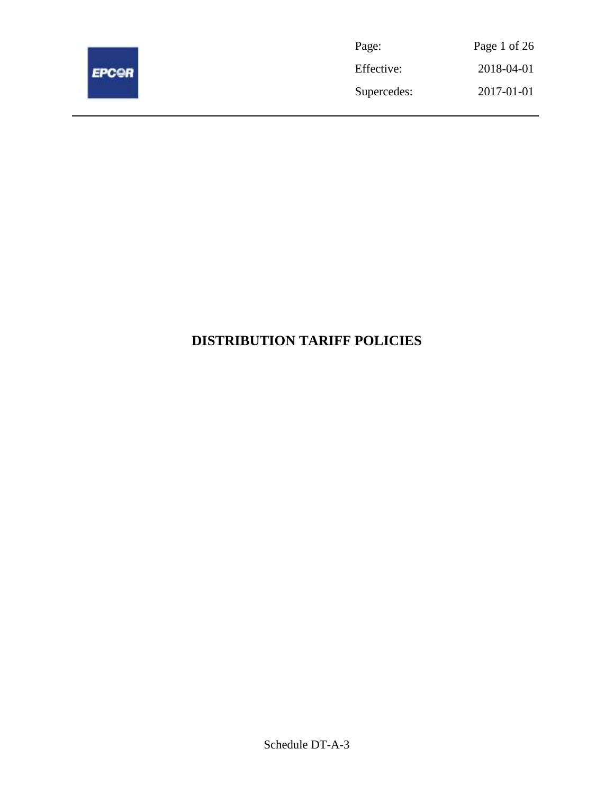

| Page:       | Page 1 of 26 |
|-------------|--------------|
| Effective:  | 2018-04-01   |
| Supercedes: | 2017-01-01   |

# **DISTRIBUTION TARIFF POLICIES**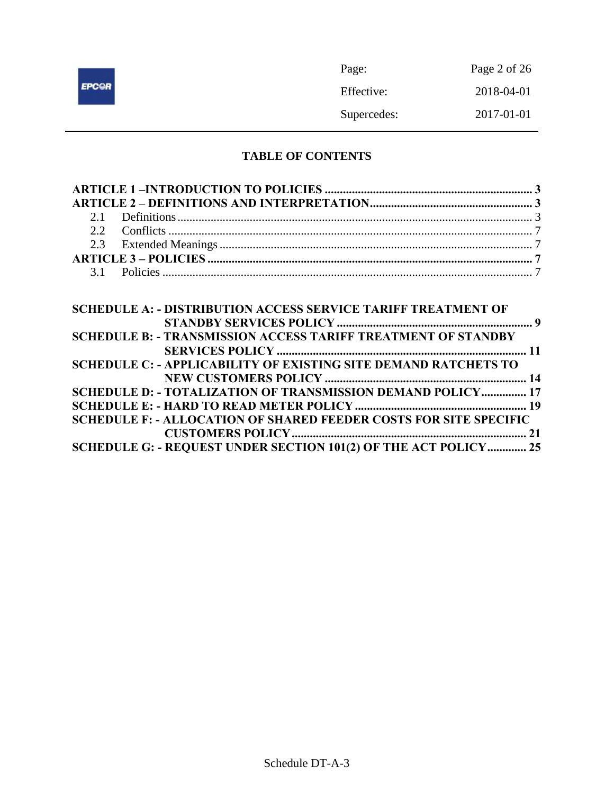|              | Page:       | Page 2 of 26 |
|--------------|-------------|--------------|
| <b>EPCOR</b> | Effective:  | 2018-04-01   |
|              | Supercedes: | 2017-01-01   |

# **TABLE OF CONTENTS**

| <b>SCHEDULE A: - DISTRIBUTION ACCESS SERVICE TARIFF TREATMENT OF</b>     |  |
|--------------------------------------------------------------------------|--|
|                                                                          |  |
| <b>SCHEDULE B: - TRANSMISSION ACCESS TARIFF TREATMENT OF STANDBY</b>     |  |
|                                                                          |  |
| <b>SCHEDULE C: - APPLICABILITY OF EXISTING SITE DEMAND RATCHETS TO</b>   |  |
|                                                                          |  |
| SCHEDULE D: - TOTALIZATION OF TRANSMISSION DEMAND POLICY 17              |  |
|                                                                          |  |
| <b>SCHEDULE F: - ALLOCATION OF SHARED FEEDER COSTS FOR SITE SPECIFIC</b> |  |
|                                                                          |  |
| SCHEDULE G: - REQUEST UNDER SECTION 101(2) OF THE ACT POLICY 25          |  |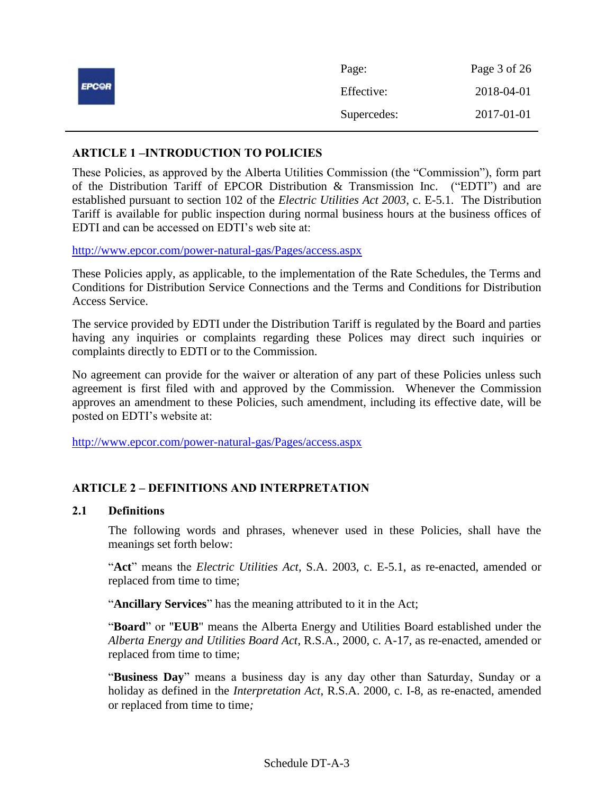|              | Page:       | Page 3 of 26 |
|--------------|-------------|--------------|
| <b>EPCOR</b> | Effective:  | 2018-04-01   |
|              | Supercedes: | 2017-01-01   |

# <span id="page-2-0"></span>**ARTICLE 1 –INTRODUCTION TO POLICIES**

These Policies, as approved by the Alberta Utilities Commission (the "Commission"), form part of the Distribution Tariff of EPCOR Distribution & Transmission Inc. ("EDTI") and are established pursuant to section 102 of the *Electric Utilities Act 2003*, c. E-5.1. The Distribution Tariff is available for public inspection during normal business hours at the business offices of EDTI and can be accessed on EDTI's web site at:

<http://www.epcor.com/power-natural-gas/Pages/access.aspx>

These Policies apply, as applicable, to the implementation of the Rate Schedules, the Terms and Conditions for Distribution Service Connections and the Terms and Conditions for Distribution Access Service.

The service provided by EDTI under the Distribution Tariff is regulated by the Board and parties having any inquiries or complaints regarding these Polices may direct such inquiries or complaints directly to EDTI or to the Commission.

No agreement can provide for the waiver or alteration of any part of these Policies unless such agreement is first filed with and approved by the Commission. Whenever the Commission approves an amendment to these Policies, such amendment, including its effective date, will be posted on EDTI's website at:

<span id="page-2-1"></span><http://www.epcor.com/power-natural-gas/Pages/access.aspx>

# **ARTICLE 2 – DEFINITIONS AND INTERPRETATION**

# <span id="page-2-2"></span>**2.1 Definitions**

The following words and phrases, whenever used in these Policies, shall have the meanings set forth below:

"**Act**" means the *Electric Utilities Act*, S.A. 2003, c. E-5.1, as re-enacted, amended or replaced from time to time;

"**Ancillary Services**" has the meaning attributed to it in the Act;

"**Board**" or "**EUB**" means the Alberta Energy and Utilities Board established under the *Alberta Energy and Utilities Board Act*, R.S.A., 2000, c. A-17, as re-enacted, amended or replaced from time to time;

"**Business Day**" means a business day is any day other than Saturday, Sunday or a holiday as defined in the *Interpretation Act*, R.S.A. 2000, c. I-8, as re-enacted, amended or replaced from time to time*;*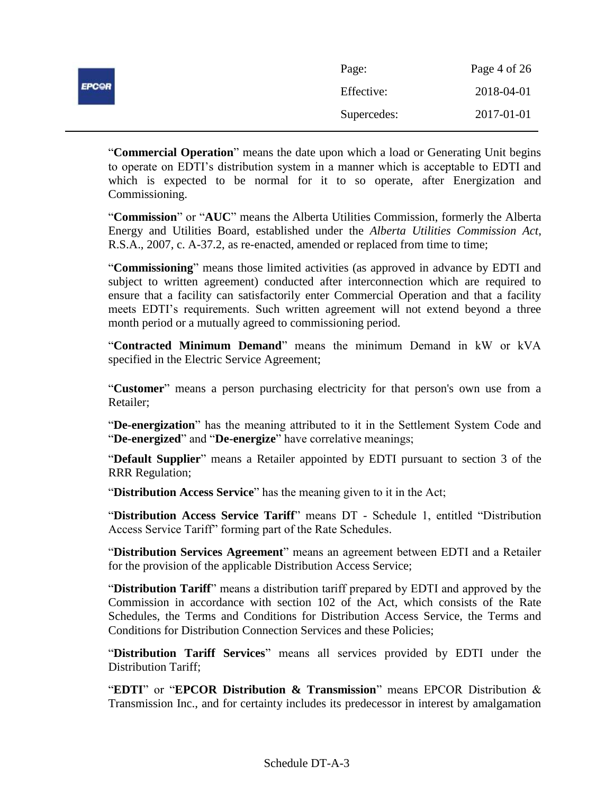|              | Page:       | Page 4 of 26 |
|--------------|-------------|--------------|
| <b>EPCOR</b> | Effective:  | 2018-04-01   |
|              | Supercedes: | 2017-01-01   |

"**Commercial Operation**" means the date upon which a load or Generating Unit begins to operate on EDTI's distribution system in a manner which is acceptable to EDTI and which is expected to be normal for it to so operate, after Energization and Commissioning.

"**Commission**" or "**AUC**" means the Alberta Utilities Commission, formerly the Alberta Energy and Utilities Board, established under the *Alberta Utilities Commission Act*, R.S.A., 2007, c. A-37.2, as re-enacted, amended or replaced from time to time;

"**Commissioning**" means those limited activities (as approved in advance by EDTI and subject to written agreement) conducted after interconnection which are required to ensure that a facility can satisfactorily enter Commercial Operation and that a facility meets EDTI's requirements. Such written agreement will not extend beyond a three month period or a mutually agreed to commissioning period.

"**Contracted Minimum Demand**" means the minimum Demand in kW or kVA specified in the Electric Service Agreement;

"**Customer**" means a person purchasing electricity for that person's own use from a Retailer;

"**De-energization**" has the meaning attributed to it in the Settlement System Code and "**De-energized**" and "**De-energize**" have correlative meanings;

"**Default Supplier**" means a Retailer appointed by EDTI pursuant to section 3 of the RRR Regulation;

"**Distribution Access Service**" has the meaning given to it in the Act;

"**Distribution Access Service Tariff**" means DT - Schedule 1, entitled "Distribution Access Service Tariff" forming part of the Rate Schedules.

"**Distribution Services Agreement**" means an agreement between EDTI and a Retailer for the provision of the applicable Distribution Access Service;

"**Distribution Tariff**" means a distribution tariff prepared by EDTI and approved by the Commission in accordance with section 102 of the Act, which consists of the Rate Schedules, the Terms and Conditions for Distribution Access Service, the Terms and Conditions for Distribution Connection Services and these Policies;

"**Distribution Tariff Services**" means all services provided by EDTI under the Distribution Tariff;

"**EDTI**" or "**EPCOR Distribution & Transmission**" means EPCOR Distribution & Transmission Inc., and for certainty includes its predecessor in interest by amalgamation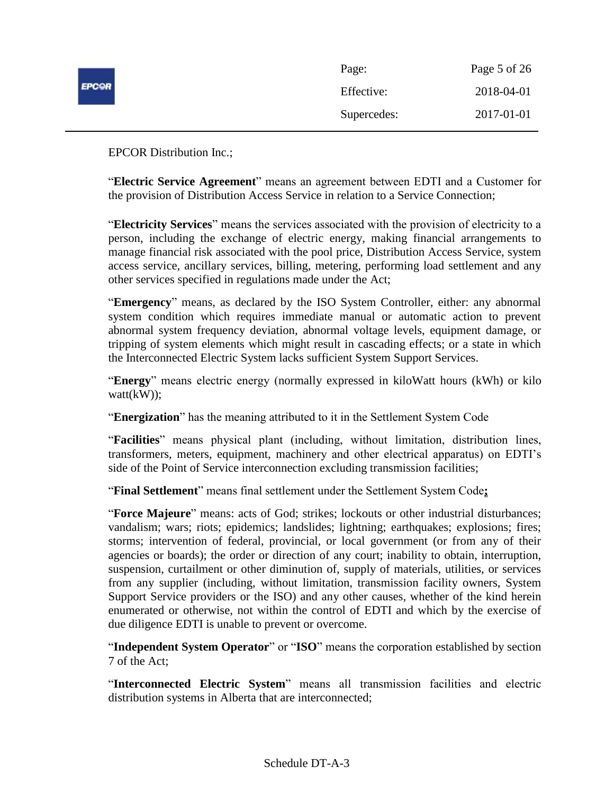|              | Page:       | Page 5 of 26 |
|--------------|-------------|--------------|
| <b>EPCOR</b> | Effective:  | 2018-04-01   |
|              | Supercedes: | 2017-01-01   |

EPCOR Distribution Inc.;

"**Electric Service Agreement**" means an agreement between EDTI and a Customer for the provision of Distribution Access Service in relation to a Service Connection;

"**Electricity Services**" means the services associated with the provision of electricity to a person, including the exchange of electric energy, making financial arrangements to manage financial risk associated with the pool price, Distribution Access Service, system access service, ancillary services, billing, metering, performing load settlement and any other services specified in regulations made under the Act;

"**Emergency**" means, as declared by the ISO System Controller, either: any abnormal system condition which requires immediate manual or automatic action to prevent abnormal system frequency deviation, abnormal voltage levels, equipment damage, or tripping of system elements which might result in cascading effects; or a state in which the Interconnected Electric System lacks sufficient System Support Services.

"**Energy**" means electric energy (normally expressed in kiloWatt hours (kWh) or kilo watt(kW));

"**Energization**" has the meaning attributed to it in the Settlement System Code

"**Facilities**" means physical plant (including, without limitation, distribution lines, transformers, meters, equipment, machinery and other electrical apparatus) on EDTI's side of the Point of Service interconnection excluding transmission facilities;

"**Final Settlement**" means final settlement under the Settlement System Code**;**

"**Force Majeure**" means: acts of God; strikes; lockouts or other industrial disturbances; vandalism; wars; riots; epidemics; landslides; lightning; earthquakes; explosions; fires; storms; intervention of federal, provincial, or local government (or from any of their agencies or boards); the order or direction of any court; inability to obtain, interruption, suspension, curtailment or other diminution of, supply of materials, utilities, or services from any supplier (including, without limitation, transmission facility owners, System Support Service providers or the ISO) and any other causes, whether of the kind herein enumerated or otherwise, not within the control of EDTI and which by the exercise of due diligence EDTI is unable to prevent or overcome.

"**Independent System Operator**" or "**ISO**" means the corporation established by section 7 of the Act;

"**Interconnected Electric System**" means all transmission facilities and electric distribution systems in Alberta that are interconnected;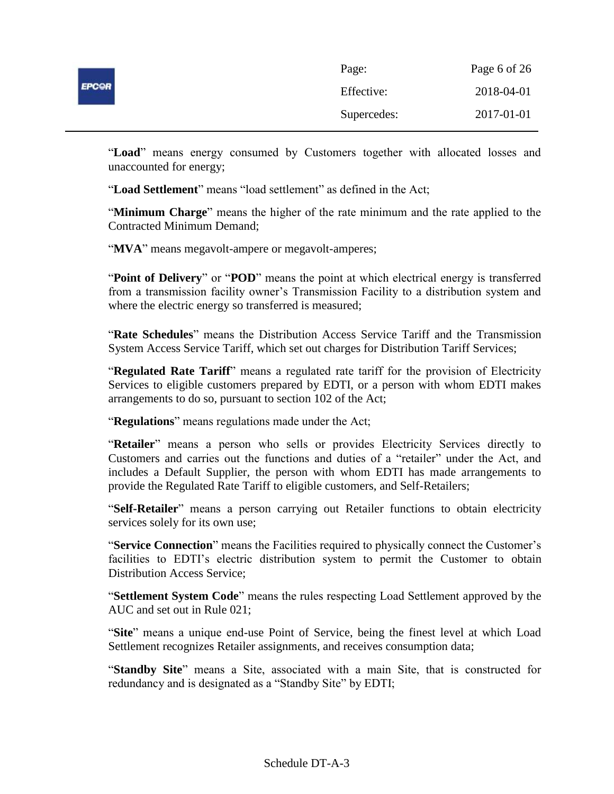|              | Page:       | Page 6 of 26 |
|--------------|-------------|--------------|
| <b>EPCOR</b> | Effective:  | 2018-04-01   |
|              | Supercedes: | 2017-01-01   |

"**Load**" means energy consumed by Customers together with allocated losses and unaccounted for energy;

"**Load Settlement**" means "load settlement" as defined in the Act;

"**Minimum Charge**" means the higher of the rate minimum and the rate applied to the Contracted Minimum Demand;

"**MVA**" means megavolt-ampere or megavolt-amperes;

"**Point of Delivery**" or "**POD**" means the point at which electrical energy is transferred from a transmission facility owner's Transmission Facility to a distribution system and where the electric energy so transferred is measured;

"**Rate Schedules**" means the Distribution Access Service Tariff and the Transmission System Access Service Tariff, which set out charges for Distribution Tariff Services;

"**Regulated Rate Tariff**" means a regulated rate tariff for the provision of Electricity Services to eligible customers prepared by EDTI, or a person with whom EDTI makes arrangements to do so, pursuant to section 102 of the Act;

"**Regulations**" means regulations made under the Act;

"**Retailer**" means a person who sells or provides Electricity Services directly to Customers and carries out the functions and duties of a "retailer" under the Act, and includes a Default Supplier, the person with whom EDTI has made arrangements to provide the Regulated Rate Tariff to eligible customers, and Self-Retailers;

"**Self-Retailer**" means a person carrying out Retailer functions to obtain electricity services solely for its own use;

"**Service Connection**" means the Facilities required to physically connect the Customer's facilities to EDTI's electric distribution system to permit the Customer to obtain Distribution Access Service;

"**Settlement System Code**" means the rules respecting Load Settlement approved by the AUC and set out in Rule 021;

"**Site**" means a unique end-use Point of Service, being the finest level at which Load Settlement recognizes Retailer assignments, and receives consumption data;

"**Standby Site**" means a Site, associated with a main Site, that is constructed for redundancy and is designated as a "Standby Site" by EDTI;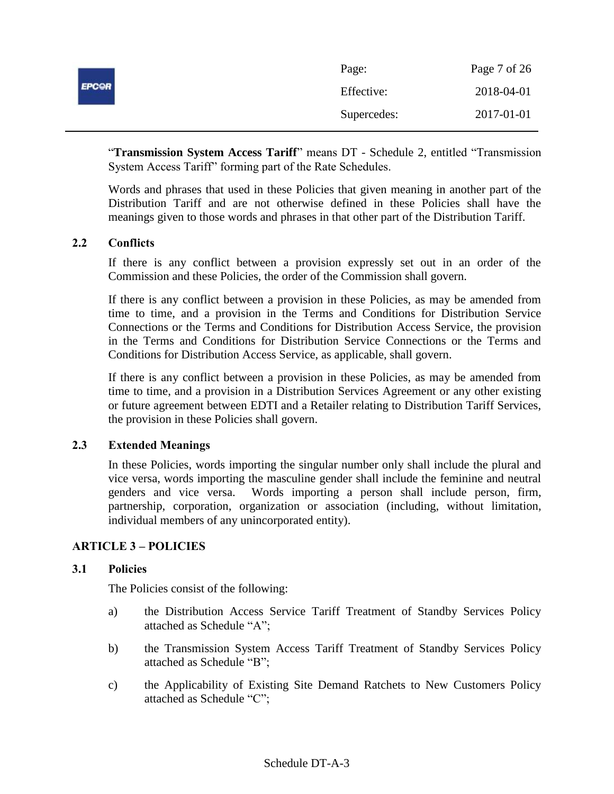|              | Page:       | Page 7 of 26 |
|--------------|-------------|--------------|
| <b>EPCOR</b> | Effective:  | 2018-04-01   |
|              | Supercedes: | 2017-01-01   |

"**Transmission System Access Tariff**" means DT - Schedule 2, entitled "Transmission System Access Tariff" forming part of the Rate Schedules.

Words and phrases that used in these Policies that given meaning in another part of the Distribution Tariff and are not otherwise defined in these Policies shall have the meanings given to those words and phrases in that other part of the Distribution Tariff.

# <span id="page-6-0"></span>**2.2 Conflicts**

If there is any conflict between a provision expressly set out in an order of the Commission and these Policies, the order of the Commission shall govern.

If there is any conflict between a provision in these Policies, as may be amended from time to time, and a provision in the Terms and Conditions for Distribution Service Connections or the Terms and Conditions for Distribution Access Service, the provision in the Terms and Conditions for Distribution Service Connections or the Terms and Conditions for Distribution Access Service, as applicable, shall govern.

If there is any conflict between a provision in these Policies, as may be amended from time to time, and a provision in a Distribution Services Agreement or any other existing or future agreement between EDTI and a Retailer relating to Distribution Tariff Services, the provision in these Policies shall govern.

# <span id="page-6-1"></span>**2.3 Extended Meanings**

In these Policies, words importing the singular number only shall include the plural and vice versa, words importing the masculine gender shall include the feminine and neutral genders and vice versa. Words importing a person shall include person, firm, partnership, corporation, organization or association (including, without limitation, individual members of any unincorporated entity).

# <span id="page-6-2"></span>**ARTICLE 3 – POLICIES**

# <span id="page-6-3"></span>**3.1 Policies**

The Policies consist of the following:

- a) the Distribution Access Service Tariff Treatment of Standby Services Policy attached as Schedule "A";
- b) the Transmission System Access Tariff Treatment of Standby Services Policy attached as Schedule "B";
- c) the Applicability of Existing Site Demand Ratchets to New Customers Policy attached as Schedule "C";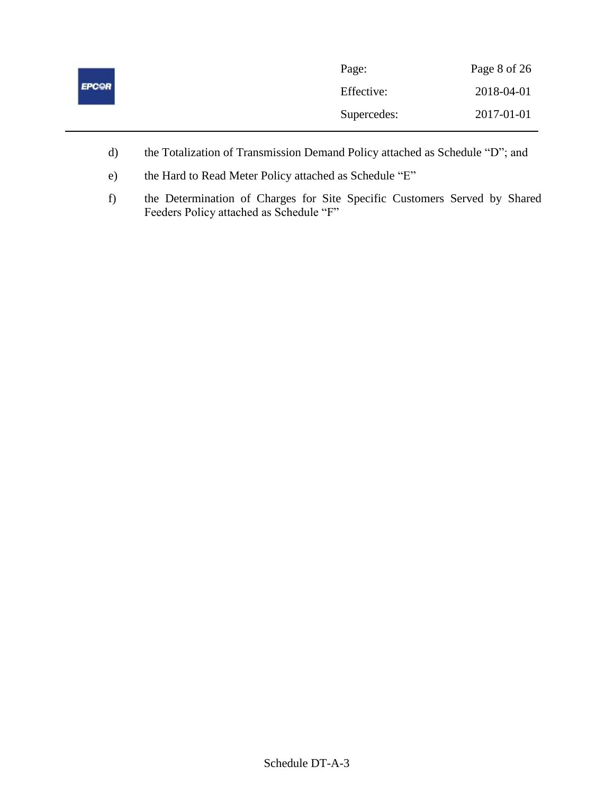|              | Page:       | Page 8 of 26 |
|--------------|-------------|--------------|
| <b>EPCOR</b> | Effective:  | 2018-04-01   |
|              | Supercedes: | 2017-01-01   |

- d) the Totalization of Transmission Demand Policy attached as Schedule "D"; and
- e) the Hard to Read Meter Policy attached as Schedule "E"
- f) the Determination of Charges for Site Specific Customers Served by Shared Feeders Policy attached as Schedule "F"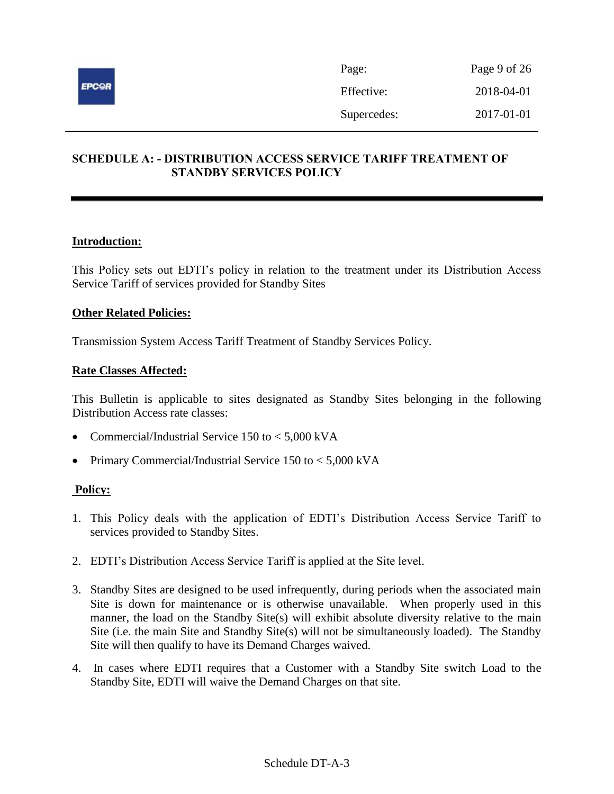

# <span id="page-8-0"></span>**SCHEDULE A: - DISTRIBUTION ACCESS SERVICE TARIFF TREATMENT OF STANDBY SERVICES POLICY**

# **Introduction:**

This Policy sets out EDTI's policy in relation to the treatment under its Distribution Access Service Tariff of services provided for Standby Sites

#### **Other Related Policies:**

Transmission System Access Tariff Treatment of Standby Services Policy.

#### **Rate Classes Affected:**

This Bulletin is applicable to sites designated as Standby Sites belonging in the following Distribution Access rate classes:

- Commercial/Industrial Service 150 to < 5,000 kVA
- Primary Commercial/Industrial Service 150 to < 5,000 kVA

- 1. This Policy deals with the application of EDTI's Distribution Access Service Tariff to services provided to Standby Sites.
- 2. EDTI's Distribution Access Service Tariff is applied at the Site level.
- 3. Standby Sites are designed to be used infrequently, during periods when the associated main Site is down for maintenance or is otherwise unavailable. When properly used in this manner, the load on the Standby Site(s) will exhibit absolute diversity relative to the main Site (i.e. the main Site and Standby Site(s) will not be simultaneously loaded). The Standby Site will then qualify to have its Demand Charges waived.
- 4. In cases where EDTI requires that a Customer with a Standby Site switch Load to the Standby Site, EDTI will waive the Demand Charges on that site.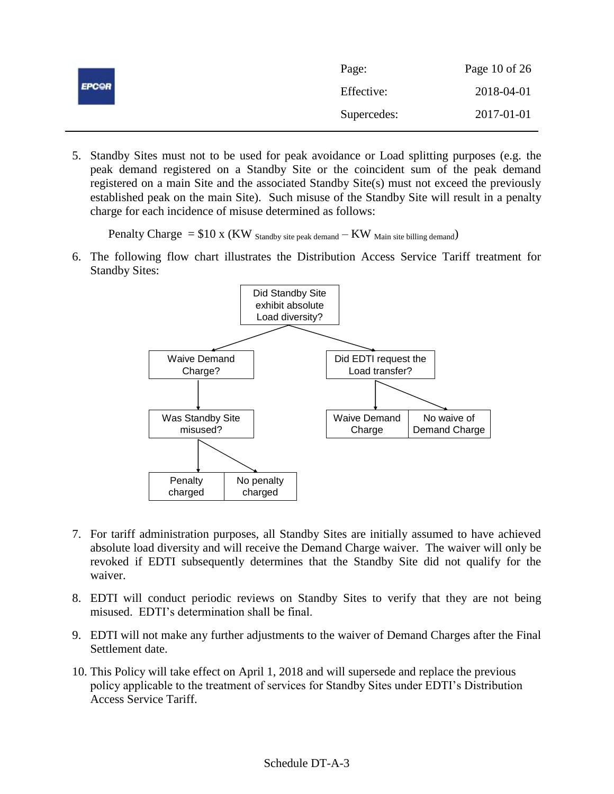|              | Page:       | Page 10 of 26 |
|--------------|-------------|---------------|
| <b>EPCOR</b> | Effective:  | 2018-04-01    |
|              | Supercedes: | 2017-01-01    |

5. Standby Sites must not to be used for peak avoidance or Load splitting purposes (e.g. the peak demand registered on a Standby Site or the coincident sum of the peak demand registered on a main Site and the associated Standby Site(s) must not exceed the previously established peak on the main Site). Such misuse of the Standby Site will result in a penalty charge for each incidence of misuse determined as follows:

Penalty Charge  $= $10 \times (KW)$  Standby site peak demand  $-KW$  Main site billing demand)

6. The following flow chart illustrates the Distribution Access Service Tariff treatment for Standby Sites:



- 7. For tariff administration purposes, all Standby Sites are initially assumed to have achieved absolute load diversity and will receive the Demand Charge waiver. The waiver will only be revoked if EDTI subsequently determines that the Standby Site did not qualify for the waiver.
- 8. EDTI will conduct periodic reviews on Standby Sites to verify that they are not being misused. EDTI's determination shall be final.
- 9. EDTI will not make any further adjustments to the waiver of Demand Charges after the Final Settlement date.
- 10. This Policy will take effect on April 1, 2018 and will supersede and replace the previous policy applicable to the treatment of services for Standby Sites under EDTI's Distribution Access Service Tariff.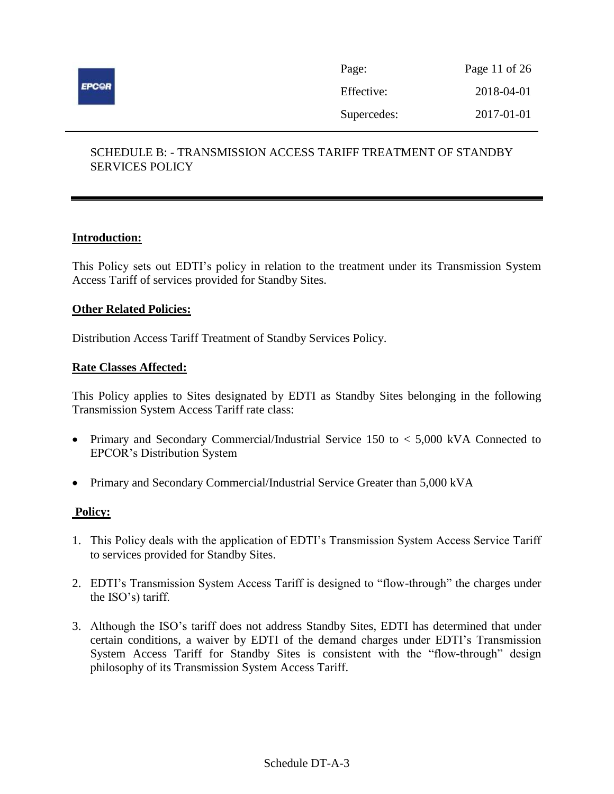

| Page:       | Page 11 of 26 |
|-------------|---------------|
| Effective:  | 2018-04-01    |
| Supercedes: | 2017-01-01    |

# <span id="page-10-0"></span>SCHEDULE B: - TRANSMISSION ACCESS TARIFF TREATMENT OF STANDBY SERVICES POLICY

# **Introduction:**

This Policy sets out EDTI's policy in relation to the treatment under its Transmission System Access Tariff of services provided for Standby Sites.

# **Other Related Policies:**

Distribution Access Tariff Treatment of Standby Services Policy.

#### **Rate Classes Affected:**

This Policy applies to Sites designated by EDTI as Standby Sites belonging in the following Transmission System Access Tariff rate class:

- Primary and Secondary Commercial/Industrial Service 150 to < 5,000 kVA Connected to EPCOR's Distribution System
- Primary and Secondary Commercial/Industrial Service Greater than 5,000 kVA

- 1. This Policy deals with the application of EDTI's Transmission System Access Service Tariff to services provided for Standby Sites.
- 2. EDTI's Transmission System Access Tariff is designed to "flow-through" the charges under the ISO's) tariff.
- 3. Although the ISO's tariff does not address Standby Sites, EDTI has determined that under certain conditions, a waiver by EDTI of the demand charges under EDTI's Transmission System Access Tariff for Standby Sites is consistent with the "flow-through" design philosophy of its Transmission System Access Tariff.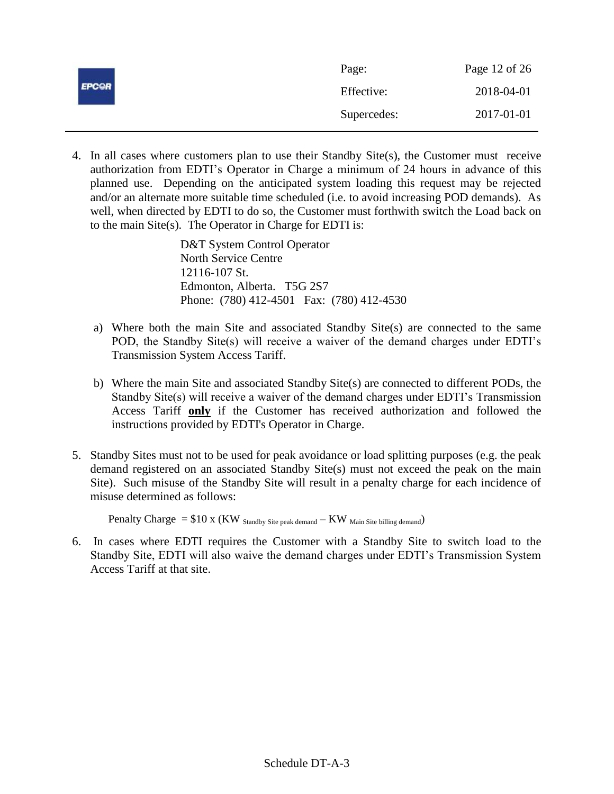|              | Page:       | Page 12 of 26 |
|--------------|-------------|---------------|
| <b>EPCOR</b> | Effective:  | 2018-04-01    |
|              | Supercedes: | 2017-01-01    |

4. In all cases where customers plan to use their Standby Site(s), the Customer must receive authorization from EDTI's Operator in Charge a minimum of 24 hours in advance of this planned use. Depending on the anticipated system loading this request may be rejected and/or an alternate more suitable time scheduled (i.e. to avoid increasing POD demands). As well, when directed by EDTI to do so, the Customer must forthwith switch the Load back on to the main Site(s). The Operator in Charge for EDTI is:

> D&T System Control Operator North Service Centre 12116-107 St. Edmonton, Alberta. T5G 2S7 Phone: (780) 412-4501 Fax: (780) 412-4530

- a) Where both the main Site and associated Standby Site(s) are connected to the same POD, the Standby Site(s) will receive a waiver of the demand charges under EDTI's Transmission System Access Tariff.
- b) Where the main Site and associated Standby Site(s) are connected to different PODs, the Standby Site(s) will receive a waiver of the demand charges under EDTI's Transmission Access Tariff **only** if the Customer has received authorization and followed the instructions provided by EDTI's Operator in Charge.
- 5. Standby Sites must not to be used for peak avoidance or load splitting purposes (e.g. the peak demand registered on an associated Standby Site(s) must not exceed the peak on the main Site). Such misuse of the Standby Site will result in a penalty charge for each incidence of misuse determined as follows:

Penalty Charge  $= $10 \times (KW)_{\text{Standard}}$  stite peak demand  $-KW$  Main Site billing demand)

6. In cases where EDTI requires the Customer with a Standby Site to switch load to the Standby Site, EDTI will also waive the demand charges under EDTI's Transmission System Access Tariff at that site.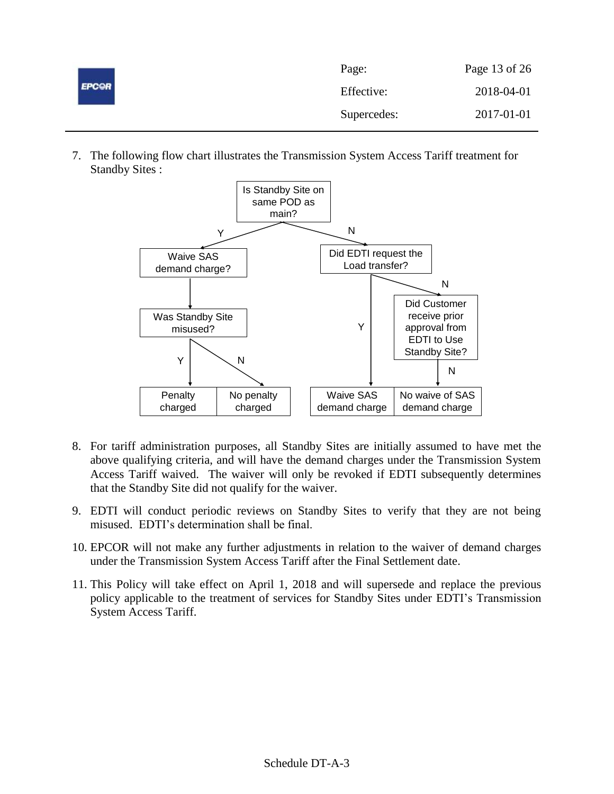| <b>EPCOR</b> | Page:       | Page 13 of 26 |
|--------------|-------------|---------------|
|              | Effective:  | 2018-04-01    |
|              | Supercedes: | 2017-01-01    |

7. The following flow chart illustrates the Transmission System Access Tariff treatment for Standby Sites :



- 8. For tariff administration purposes, all Standby Sites are initially assumed to have met the above qualifying criteria, and will have the demand charges under the Transmission System Access Tariff waived. The waiver will only be revoked if EDTI subsequently determines that the Standby Site did not qualify for the waiver.
- 9. EDTI will conduct periodic reviews on Standby Sites to verify that they are not being misused. EDTI's determination shall be final.
- 10. EPCOR will not make any further adjustments in relation to the waiver of demand charges under the Transmission System Access Tariff after the Final Settlement date.
- 11. This Policy will take effect on April 1, 2018 and will supersede and replace the previous policy applicable to the treatment of services for Standby Sites under EDTI's Transmission System Access Tariff.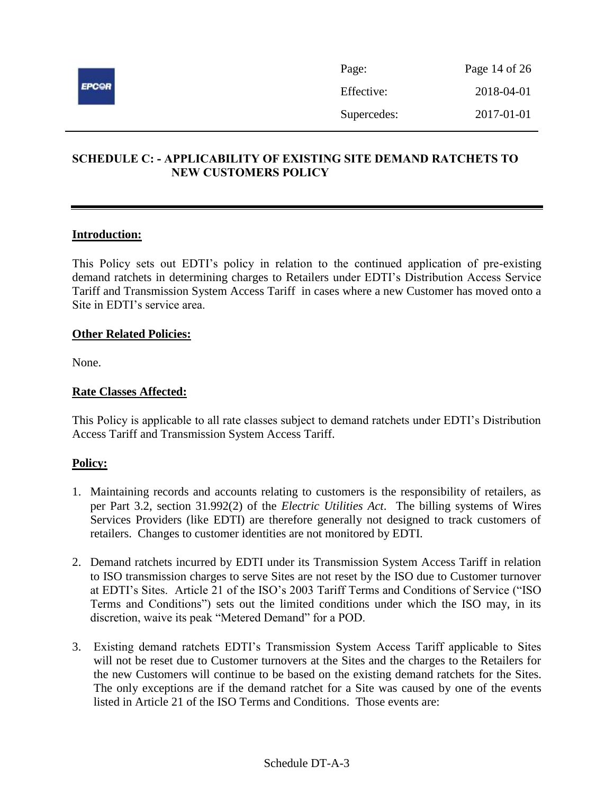

# <span id="page-13-0"></span>**SCHEDULE C: - APPLICABILITY OF EXISTING SITE DEMAND RATCHETS TO NEW CUSTOMERS POLICY**

# **Introduction:**

This Policy sets out EDTI's policy in relation to the continued application of pre-existing demand ratchets in determining charges to Retailers under EDTI's Distribution Access Service Tariff and Transmission System Access Tariff in cases where a new Customer has moved onto a Site in EDTI's service area.

#### **Other Related Policies:**

None.

# **Rate Classes Affected:**

This Policy is applicable to all rate classes subject to demand ratchets under EDTI's Distribution Access Tariff and Transmission System Access Tariff.

- 1. Maintaining records and accounts relating to customers is the responsibility of retailers, as per Part 3.2, section 31.992(2) of the *Electric Utilities Act*. The billing systems of Wires Services Providers (like EDTI) are therefore generally not designed to track customers of retailers. Changes to customer identities are not monitored by EDTI.
- 2. Demand ratchets incurred by EDTI under its Transmission System Access Tariff in relation to ISO transmission charges to serve Sites are not reset by the ISO due to Customer turnover at EDTI's Sites. Article 21 of the ISO's 2003 Tariff Terms and Conditions of Service ("ISO Terms and Conditions") sets out the limited conditions under which the ISO may, in its discretion, waive its peak "Metered Demand" for a POD.
- 3. Existing demand ratchets EDTI's Transmission System Access Tariff applicable to Sites will not be reset due to Customer turnovers at the Sites and the charges to the Retailers for the new Customers will continue to be based on the existing demand ratchets for the Sites. The only exceptions are if the demand ratchet for a Site was caused by one of the events listed in Article 21 of the ISO Terms and Conditions. Those events are: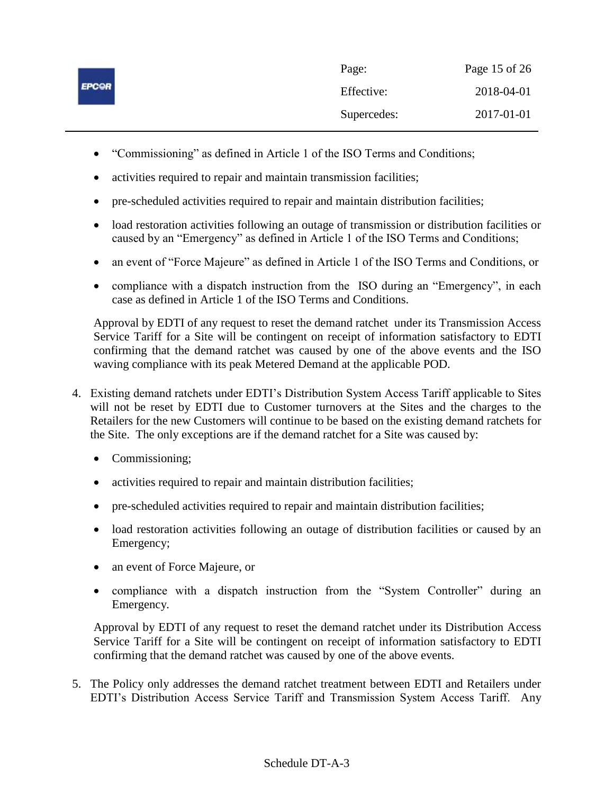| <b>EPCOR</b> | Page:       | Page 15 of 26 |
|--------------|-------------|---------------|
|              | Effective:  | 2018-04-01    |
|              | Supercedes: | 2017-01-01    |

- "Commissioning" as defined in Article 1 of the ISO Terms and Conditions;
- activities required to repair and maintain transmission facilities;
- pre-scheduled activities required to repair and maintain distribution facilities;
- load restoration activities following an outage of transmission or distribution facilities or caused by an "Emergency" as defined in Article 1 of the ISO Terms and Conditions;
- an event of "Force Majeure" as defined in Article 1 of the ISO Terms and Conditions, or
- compliance with a dispatch instruction from the ISO during an "Emergency", in each case as defined in Article 1 of the ISO Terms and Conditions.

Approval by EDTI of any request to reset the demand ratchet under its Transmission Access Service Tariff for a Site will be contingent on receipt of information satisfactory to EDTI confirming that the demand ratchet was caused by one of the above events and the ISO waving compliance with its peak Metered Demand at the applicable POD*.*

- 4. Existing demand ratchets under EDTI's Distribution System Access Tariff applicable to Sites will not be reset by EDTI due to Customer turnovers at the Sites and the charges to the Retailers for the new Customers will continue to be based on the existing demand ratchets for the Site. The only exceptions are if the demand ratchet for a Site was caused by:
	- Commissioning;
	- activities required to repair and maintain distribution facilities;
	- pre-scheduled activities required to repair and maintain distribution facilities;
	- load restoration activities following an outage of distribution facilities or caused by an Emergency;
	- an event of Force Majeure, or
	- compliance with a dispatch instruction from the "System Controller" during an Emergency*.*

Approval by EDTI of any request to reset the demand ratchet under its Distribution Access Service Tariff for a Site will be contingent on receipt of information satisfactory to EDTI confirming that the demand ratchet was caused by one of the above events.

5. The Policy only addresses the demand ratchet treatment between EDTI and Retailers under EDTI's Distribution Access Service Tariff and Transmission System Access Tariff. Any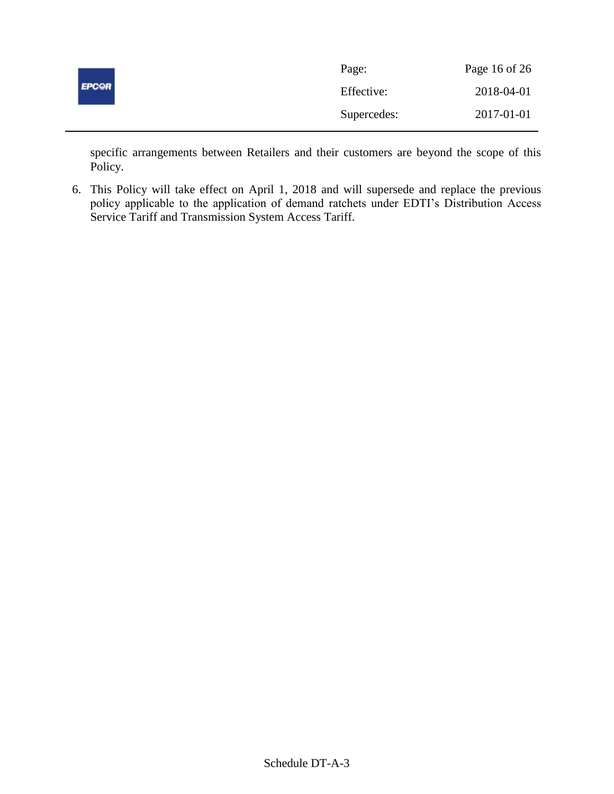| <b>EPCOR</b> | Page:       | Page 16 of 26 |
|--------------|-------------|---------------|
|              | Effective:  | 2018-04-01    |
|              | Supercedes: | 2017-01-01    |

specific arrangements between Retailers and their customers are beyond the scope of this Policy.

6. This Policy will take effect on April 1, 2018 and will supersede and replace the previous policy applicable to the application of demand ratchets under EDTI's Distribution Access Service Tariff and Transmission System Access Tariff.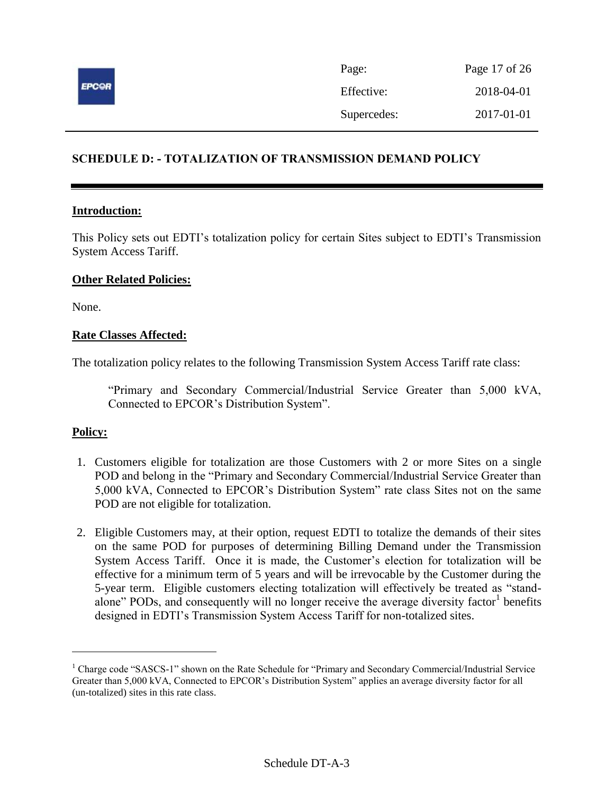

| Page:       | Page 17 of 26 |
|-------------|---------------|
| Effective:  | 2018-04-01    |
| Supercedes: | 2017-01-01    |

# <span id="page-16-0"></span>**SCHEDULE D: - TOTALIZATION OF TRANSMISSION DEMAND POLICY**

#### **Introduction:**

This Policy sets out EDTI's totalization policy for certain Sites subject to EDTI's Transmission System Access Tariff.

#### **Other Related Policies:**

None.

#### **Rate Classes Affected:**

The totalization policy relates to the following Transmission System Access Tariff rate class:

"Primary and Secondary Commercial/Industrial Service Greater than 5,000 kVA, Connected to EPCOR's Distribution System".

# **Policy:**

 $\overline{a}$ 

- 1. Customers eligible for totalization are those Customers with 2 or more Sites on a single POD and belong in the "Primary and Secondary Commercial/Industrial Service Greater than 5,000 kVA, Connected to EPCOR's Distribution System" rate class Sites not on the same POD are not eligible for totalization.
- 2. Eligible Customers may, at their option, request EDTI to totalize the demands of their sites on the same POD for purposes of determining Billing Demand under the Transmission System Access Tariff. Once it is made, the Customer's election for totalization will be effective for a minimum term of 5 years and will be irrevocable by the Customer during the 5-year term. Eligible customers electing totalization will effectively be treated as "standalone" PODs, and consequently will no longer receive the average diversity factor<sup>1</sup> benefits designed in EDTI's Transmission System Access Tariff for non-totalized sites.

<sup>&</sup>lt;sup>1</sup> Charge code "SASCS-1" shown on the Rate Schedule for "Primary and Secondary Commercial/Industrial Service Greater than 5,000 kVA, Connected to EPCOR's Distribution System" applies an average diversity factor for all (un-totalized) sites in this rate class.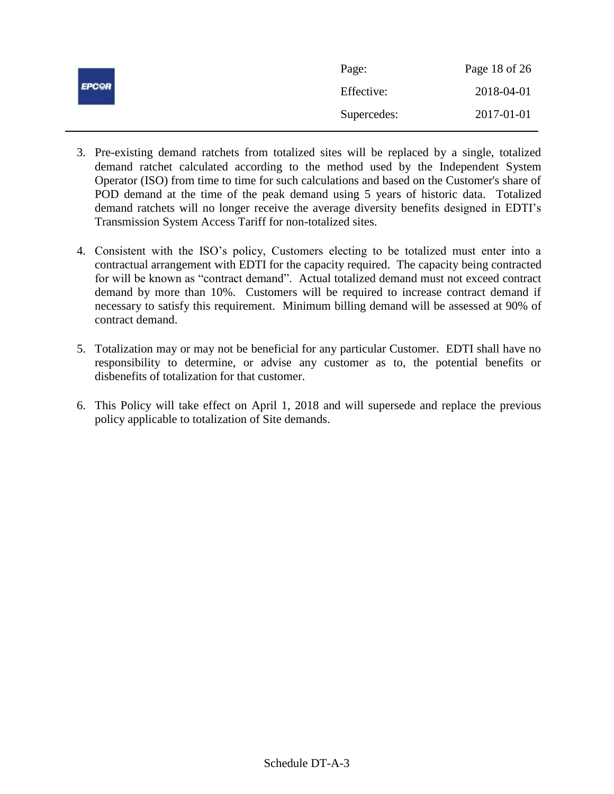| <b>EPCOR</b> | Page:       | Page 18 of 26 |
|--------------|-------------|---------------|
|              | Effective:  | 2018-04-01    |
|              | Supercedes: | 2017-01-01    |

- 3. Pre-existing demand ratchets from totalized sites will be replaced by a single, totalized demand ratchet calculated according to the method used by the Independent System Operator (ISO) from time to time for such calculations and based on the Customer's share of POD demand at the time of the peak demand using 5 years of historic data. Totalized demand ratchets will no longer receive the average diversity benefits designed in EDTI's Transmission System Access Tariff for non-totalized sites.
- 4. Consistent with the ISO's policy, Customers electing to be totalized must enter into a contractual arrangement with EDTI for the capacity required. The capacity being contracted for will be known as "contract demand". Actual totalized demand must not exceed contract demand by more than 10%. Customers will be required to increase contract demand if necessary to satisfy this requirement. Minimum billing demand will be assessed at 90% of contract demand.
- 5. Totalization may or may not be beneficial for any particular Customer. EDTI shall have no responsibility to determine, or advise any customer as to, the potential benefits or disbenefits of totalization for that customer.
- 6. This Policy will take effect on April 1, 2018 and will supersede and replace the previous policy applicable to totalization of Site demands.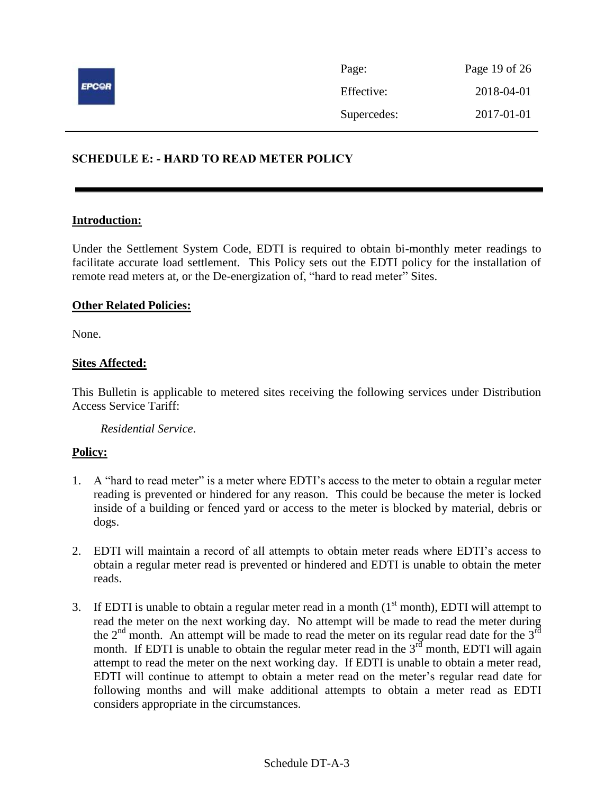

# <span id="page-18-0"></span>**SCHEDULE E: - HARD TO READ METER POLICY**

#### **Introduction:**

Under the Settlement System Code, EDTI is required to obtain bi-monthly meter readings to facilitate accurate load settlement. This Policy sets out the EDTI policy for the installation of remote read meters at, or the De-energization of, "hard to read meter" Sites.

#### **Other Related Policies:**

None.

### **Sites Affected:**

This Bulletin is applicable to metered sites receiving the following services under Distribution Access Service Tariff:

*Residential Service*.

- 1. A "hard to read meter" is a meter where EDTI's access to the meter to obtain a regular meter reading is prevented or hindered for any reason. This could be because the meter is locked inside of a building or fenced yard or access to the meter is blocked by material, debris or dogs.
- 2. EDTI will maintain a record of all attempts to obtain meter reads where EDTI's access to obtain a regular meter read is prevented or hindered and EDTI is unable to obtain the meter reads.
- 3. If EDTI is unable to obtain a regular meter read in a month  $(1<sup>st</sup>$  month), EDTI will attempt to read the meter on the next working day. No attempt will be made to read the meter during the  $2<sup>nd</sup>$  month. An attempt will be made to read the meter on its regular read date for the  $3<sup>rd</sup>$ month. If EDTI is unable to obtain the regular meter read in the  $3<sup>rd</sup>$  month, EDTI will again attempt to read the meter on the next working day. If EDTI is unable to obtain a meter read, EDTI will continue to attempt to obtain a meter read on the meter's regular read date for following months and will make additional attempts to obtain a meter read as EDTI considers appropriate in the circumstances.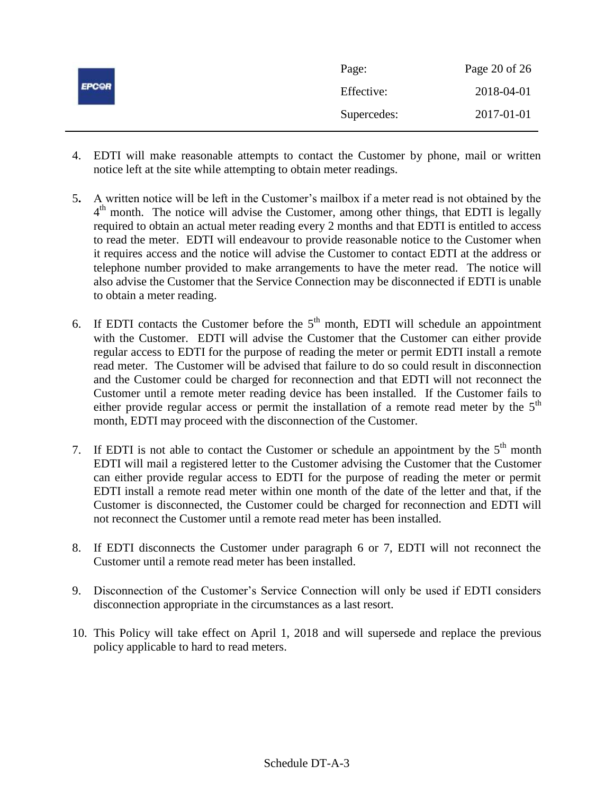|              | Page:       | Page 20 of 26 |
|--------------|-------------|---------------|
| <b>EPCOR</b> | Effective:  | 2018-04-01    |
|              | Supercedes: | 2017-01-01    |

- 4. EDTI will make reasonable attempts to contact the Customer by phone, mail or written notice left at the site while attempting to obtain meter readings.
- 5**.** A written notice will be left in the Customer's mailbox if a meter read is not obtained by the 4<sup>th</sup> month. The notice will advise the Customer, among other things, that EDTI is legally required to obtain an actual meter reading every 2 months and that EDTI is entitled to access to read the meter. EDTI will endeavour to provide reasonable notice to the Customer when it requires access and the notice will advise the Customer to contact EDTI at the address or telephone number provided to make arrangements to have the meter read. The notice will also advise the Customer that the Service Connection may be disconnected if EDTI is unable to obtain a meter reading.
- 6. If EDTI contacts the Customer before the  $5<sup>th</sup>$  month, EDTI will schedule an appointment with the Customer. EDTI will advise the Customer that the Customer can either provide regular access to EDTI for the purpose of reading the meter or permit EDTI install a remote read meter. The Customer will be advised that failure to do so could result in disconnection and the Customer could be charged for reconnection and that EDTI will not reconnect the Customer until a remote meter reading device has been installed. If the Customer fails to either provide regular access or permit the installation of a remote read meter by the  $5<sup>th</sup>$ month, EDTI may proceed with the disconnection of the Customer.
- 7. If EDTI is not able to contact the Customer or schedule an appointment by the  $5<sup>th</sup>$  month EDTI will mail a registered letter to the Customer advising the Customer that the Customer can either provide regular access to EDTI for the purpose of reading the meter or permit EDTI install a remote read meter within one month of the date of the letter and that, if the Customer is disconnected, the Customer could be charged for reconnection and EDTI will not reconnect the Customer until a remote read meter has been installed.
- 8. If EDTI disconnects the Customer under paragraph 6 or 7, EDTI will not reconnect the Customer until a remote read meter has been installed.
- 9. Disconnection of the Customer's Service Connection will only be used if EDTI considers disconnection appropriate in the circumstances as a last resort.
- 10. This Policy will take effect on April 1, 2018 and will supersede and replace the previous policy applicable to hard to read meters.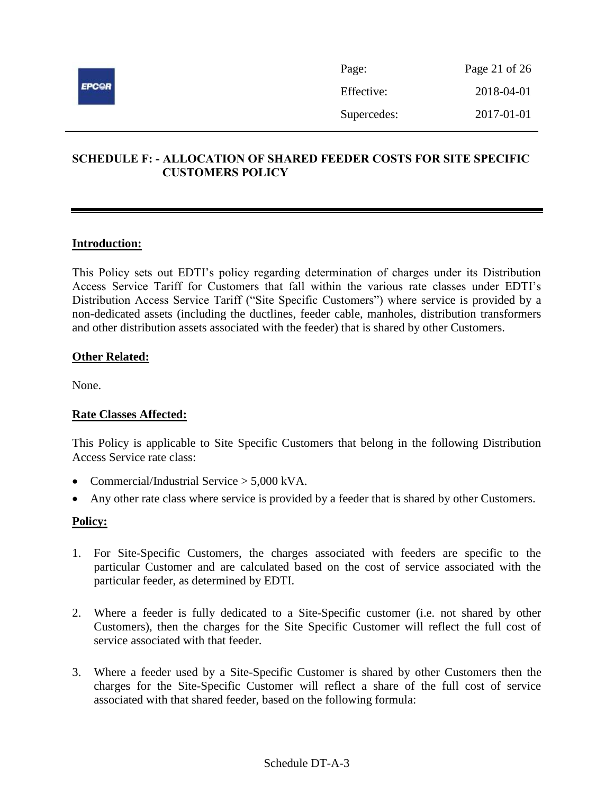

| Page:       | Page 21 of 26 |
|-------------|---------------|
| Effective:  | 2018-04-01    |
| Supercedes: | 2017-01-01    |

# <span id="page-20-0"></span>**SCHEDULE F: - ALLOCATION OF SHARED FEEDER COSTS FOR SITE SPECIFIC CUSTOMERS POLICY**

# **Introduction:**

This Policy sets out EDTI's policy regarding determination of charges under its Distribution Access Service Tariff for Customers that fall within the various rate classes under EDTI's Distribution Access Service Tariff ("Site Specific Customers") where service is provided by a non-dedicated assets (including the ductlines, feeder cable, manholes, distribution transformers and other distribution assets associated with the feeder) that is shared by other Customers.

# **Other Related:**

None.

# **Rate Classes Affected:**

This Policy is applicable to Site Specific Customers that belong in the following Distribution Access Service rate class:

- Commercial/Industrial Service  $> 5.000$  kVA.
- Any other rate class where service is provided by a feeder that is shared by other Customers.

- 1. For Site-Specific Customers, the charges associated with feeders are specific to the particular Customer and are calculated based on the cost of service associated with the particular feeder, as determined by EDTI.
- 2. Where a feeder is fully dedicated to a Site-Specific customer (i.e. not shared by other Customers), then the charges for the Site Specific Customer will reflect the full cost of service associated with that feeder.
- 3. Where a feeder used by a Site-Specific Customer is shared by other Customers then the charges for the Site-Specific Customer will reflect a share of the full cost of service associated with that shared feeder, based on the following formula: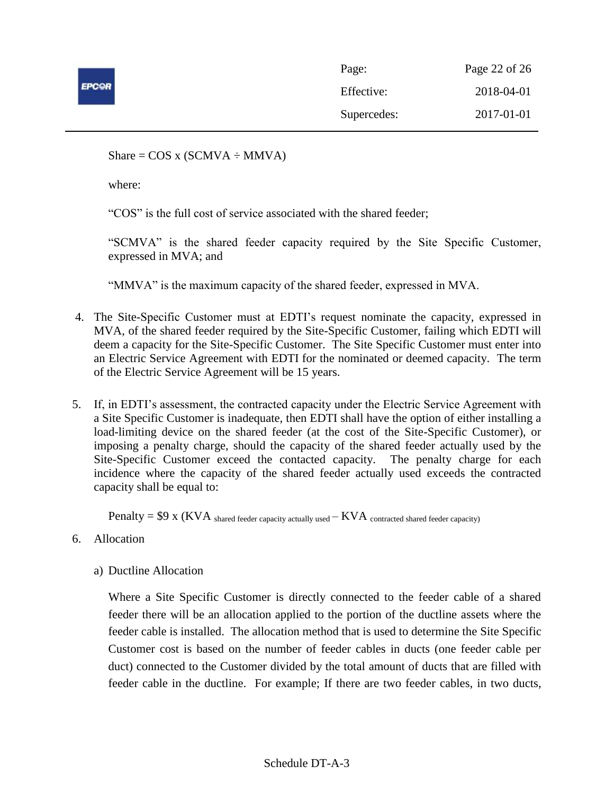

| Page:       | Page 22 of 26 |
|-------------|---------------|
| Effective:  | 2018-04-01    |
| Supercedes: | 2017-01-01    |

Share =  $COS x (SCMVA \div MMVA)$ 

where:

"COS" is the full cost of service associated with the shared feeder;

"SCMVA" is the shared feeder capacity required by the Site Specific Customer, expressed in MVA; and

"MMVA" is the maximum capacity of the shared feeder, expressed in MVA.

- 4. The Site-Specific Customer must at EDTI's request nominate the capacity, expressed in MVA, of the shared feeder required by the Site-Specific Customer, failing which EDTI will deem a capacity for the Site-Specific Customer. The Site Specific Customer must enter into an Electric Service Agreement with EDTI for the nominated or deemed capacity. The term of the Electric Service Agreement will be 15 years.
- 5. If, in EDTI's assessment, the contracted capacity under the Electric Service Agreement with a Site Specific Customer is inadequate, then EDTI shall have the option of either installing a load-limiting device on the shared feeder (at the cost of the Site-Specific Customer), or imposing a penalty charge, should the capacity of the shared feeder actually used by the Site-Specific Customer exceed the contacted capacity. The penalty charge for each incidence where the capacity of the shared feeder actually used exceeds the contracted capacity shall be equal to:

 $Penalty = $9 \times (KVA)$  shared feeder capacity actually used  $-KVA$  contracted shared feeder capacity)

- 6. Allocation
	- a) Ductline Allocation

Where a Site Specific Customer is directly connected to the feeder cable of a shared feeder there will be an allocation applied to the portion of the ductline assets where the feeder cable is installed. The allocation method that is used to determine the Site Specific Customer cost is based on the number of feeder cables in ducts (one feeder cable per duct) connected to the Customer divided by the total amount of ducts that are filled with feeder cable in the ductline. For example; If there are two feeder cables, in two ducts,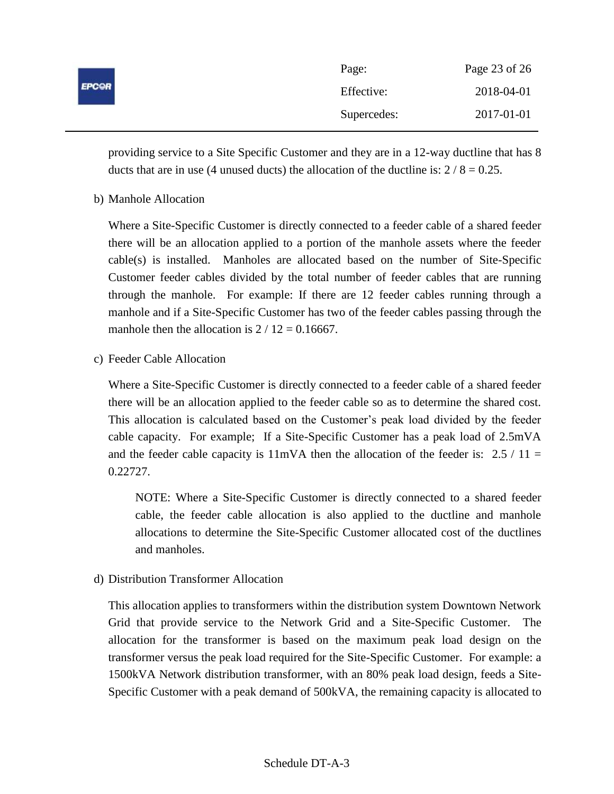| <b>EPCOR</b> | Page:       | Page 23 of 26 |
|--------------|-------------|---------------|
|              | Effective:  | 2018-04-01    |
|              | Supercedes: | 2017-01-01    |

providing service to a Site Specific Customer and they are in a 12-way ductline that has 8 ducts that are in use (4 unused ducts) the allocation of the ductline is:  $2/8 = 0.25$ .

b) Manhole Allocation

Where a Site-Specific Customer is directly connected to a feeder cable of a shared feeder there will be an allocation applied to a portion of the manhole assets where the feeder cable(s) is installed. Manholes are allocated based on the number of Site-Specific Customer feeder cables divided by the total number of feeder cables that are running through the manhole. For example: If there are 12 feeder cables running through a manhole and if a Site-Specific Customer has two of the feeder cables passing through the manhole then the allocation is  $2 / 12 = 0.16667$ .

c) Feeder Cable Allocation

Where a Site-Specific Customer is directly connected to a feeder cable of a shared feeder there will be an allocation applied to the feeder cable so as to determine the shared cost. This allocation is calculated based on the Customer's peak load divided by the feeder cable capacity. For example; If a Site-Specific Customer has a peak load of 2.5mVA and the feeder cable capacity is  $11mVA$  then the allocation of the feeder is: 2.5 / 11 = 0.22727.

NOTE: Where a Site-Specific Customer is directly connected to a shared feeder cable, the feeder cable allocation is also applied to the ductline and manhole allocations to determine the Site-Specific Customer allocated cost of the ductlines and manholes.

d) Distribution Transformer Allocation

This allocation applies to transformers within the distribution system Downtown Network Grid that provide service to the Network Grid and a Site-Specific Customer. The allocation for the transformer is based on the maximum peak load design on the transformer versus the peak load required for the Site-Specific Customer. For example: a 1500kVA Network distribution transformer, with an 80% peak load design, feeds a Site-Specific Customer with a peak demand of 500kVA, the remaining capacity is allocated to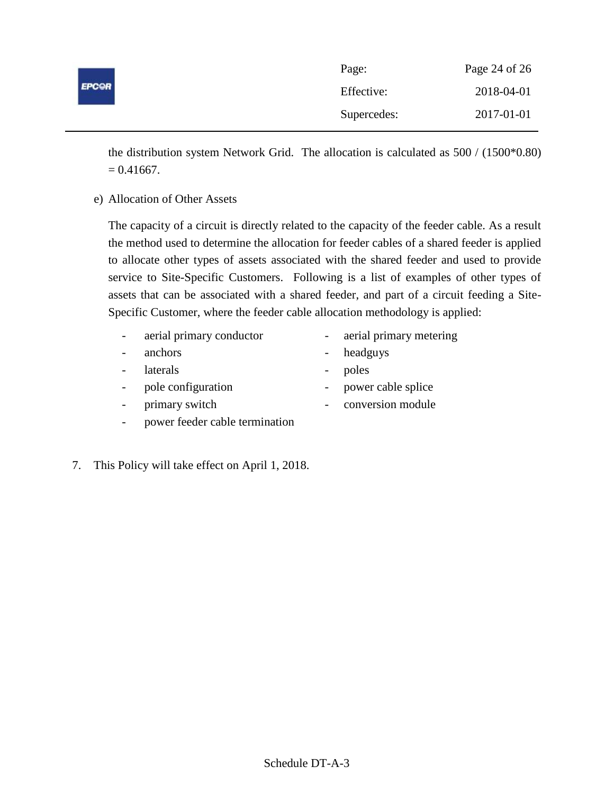|              | Page:       | Page 24 of 26 |
|--------------|-------------|---------------|
| <b>EPCOR</b> | Effective:  | 2018-04-01    |
|              | Supercedes: | 2017-01-01    |

the distribution system Network Grid. The allocation is calculated as 500 / (1500\*0.80)  $= 0.41667.$ 

e) Allocation of Other Assets

The capacity of a circuit is directly related to the capacity of the feeder cable. As a result the method used to determine the allocation for feeder cables of a shared feeder is applied to allocate other types of assets associated with the shared feeder and used to provide service to Site-Specific Customers. Following is a list of examples of other types of assets that can be associated with a shared feeder, and part of a circuit feeding a Site-Specific Customer, where the feeder cable allocation methodology is applied:

- aerial primary conductor aerial primary metering
- anchors headguys
- laterals poles
- 
- pole configuration power cable splice
- 
- primary switch conversion module
- power feeder cable termination
- 
- 7. This Policy will take effect on April 1, 2018.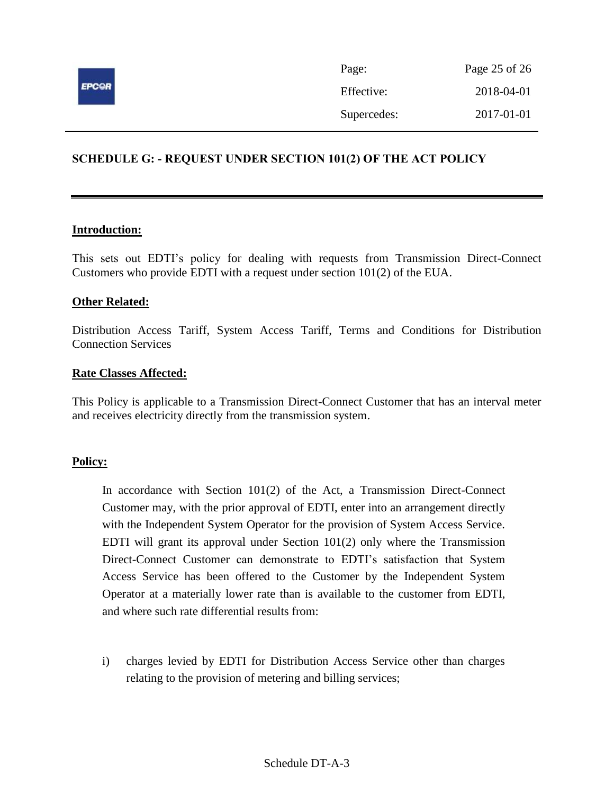

# <span id="page-24-0"></span>**SCHEDULE G: - REQUEST UNDER SECTION 101(2) OF THE ACT POLICY**

#### **Introduction:**

This sets out EDTI's policy for dealing with requests from Transmission Direct-Connect Customers who provide EDTI with a request under section 101(2) of the EUA.

# **Other Related:**

Distribution Access Tariff, System Access Tariff, Terms and Conditions for Distribution Connection Services

#### **Rate Classes Affected:**

This Policy is applicable to a Transmission Direct-Connect Customer that has an interval meter and receives electricity directly from the transmission system.

#### **Policy:**

In accordance with Section 101(2) of the Act, a Transmission Direct-Connect Customer may, with the prior approval of EDTI, enter into an arrangement directly with the Independent System Operator for the provision of System Access Service. EDTI will grant its approval under Section  $101(2)$  only where the Transmission Direct-Connect Customer can demonstrate to EDTI's satisfaction that System Access Service has been offered to the Customer by the Independent System Operator at a materially lower rate than is available to the customer from EDTI, and where such rate differential results from:

i) charges levied by EDTI for Distribution Access Service other than charges relating to the provision of metering and billing services;